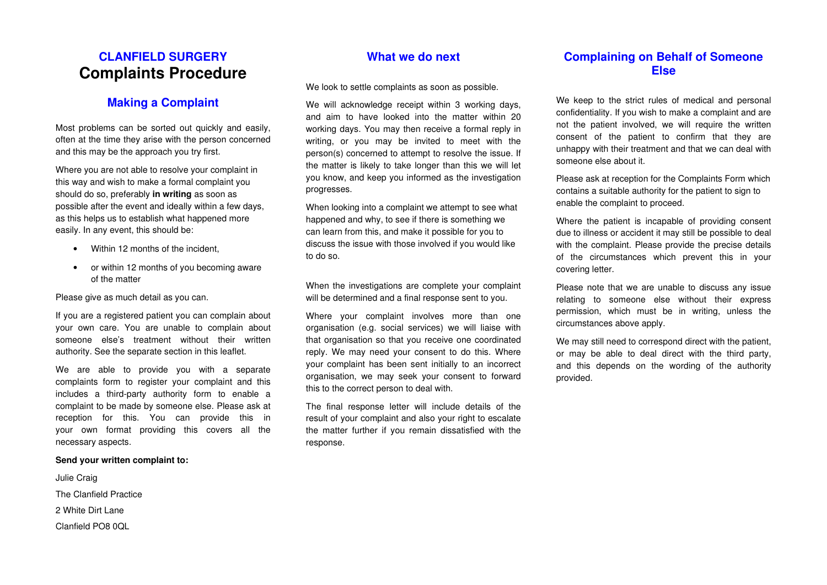# **CLANFIELD SURGERY Complaints Procedure**

## **Making a Complaint**

Most problems can be sorted out quickly and easily,often at the time they arise with the person concerned and this may be the approach you try first.

Where you are not able to resolve your complaint inthis way and wish to make a formal complaint you should do so, preferably **in writing** as soon as possible after the event and ideally within a few days, as this helps us to establish what happened more easily. In any event, this should be:

- Within 12 months of the incident.
- or within 12 months of you becoming aware of the matter

Please give as much detail as you can.

If you are a registered patient you can complain about your own care. You are unable to complain about someone else's treatment without their written authority. See the separate section in this leaflet.

We are able to provide you with a separate complaints form to register your complaint and this includes a third-party authority form to enable a complaint to be made by someone else. Please ask atreception for this. You can provide this in your own format providing this covers all the necessary aspects.

#### **Send your written complaint to:**

Julie Craig The Clanfield Practice 2 White Dirt Lane Clanfield PO8 0QL

#### **What we do next**

We look to settle complaints as soon as possible.

We will acknowledge receipt within 3 working days, and aim to have looked into the matter within 20 working days. You may then receive a formal reply in writing, or you may be invited to meet with the person(s) concerned to attempt to resolve the issue. If the matter is likely to take longer than this we will let you know, and keep you informed as the investigation progresses.

When looking into a complaint we attempt to see what happened and why, to see if there is something we can learn from this, and make it possible for you to discuss the issue with those involved if you would like to do so.

When the investigations are complete your complaintwill be determined and a final response sent to you.

Where your complaint involves more than one organisation (e.g. social services) we will liaise with that organisation so that you receive one coordinated reply. We may need your consent to do this. Where your complaint has been sent initially to an incorrect organisation, we may seek your consent to forward this to the correct person to deal with.

The final response letter will include details of the result of your complaint and also your right to escalate the matter further if you remain dissatisfied with the response.

#### **Complaining on Behalf of Someone Else**

We keep to the strict rules of medical and personalconfidentiality. If you wish to make a complaint and are not the patient involved, we will require the written consent of the patient to confirm that they are unhappy with their treatment and that we can deal with someone else about it.

Please ask at reception for the Complaints Form which contains a suitable authority for the patient to sign to enable the complaint to proceed.

Where the patient is incapable of providing consentdue to illness or accident it may still be possible to deal with the complaint. Please provide the precise details of the circumstances which prevent this in your covering letter.

Please note that we are unable to discuss any issue relating to someone else without their express permission, which must be in writing, unless the circumstances above apply.

We may still need to correspond direct with the patient, or may be able to deal direct with the third party,and this depends on the wording of the authority provided.